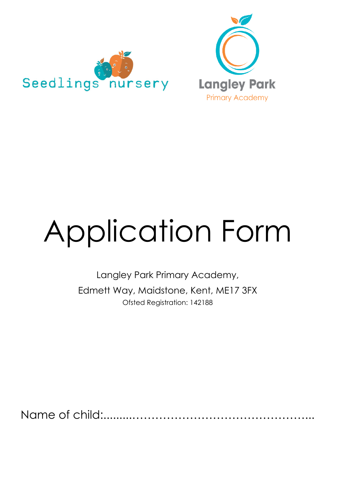



# Application Form

Langley Park Primary Academy, Edmett Way, Maidstone, Kent, ME17 3FX Ofsted Registration: 142188

Name of child:.........………………………………………...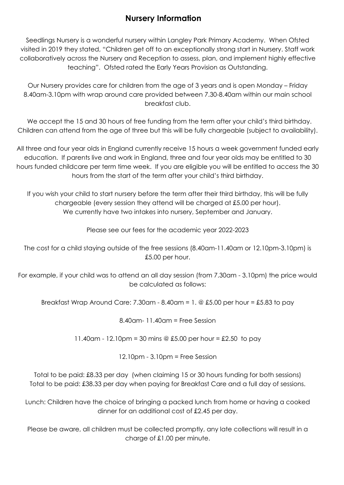#### **Nursery Information**

Seedlings Nursery is a wonderful nursery within Langley Park Primary Academy. When Ofsted visited in 2019 they stated, "Children get off to an exceptionally strong start in Nursery. Staff work collaboratively across the Nursery and Reception to assess, plan, and implement highly effective teaching". Ofsted rated the Early Years Provision as Outstanding.

Our Nursery provides care for children from the age of 3 years and is open Monday – Friday 8.40am-3.10pm with wrap around care provided between 7.30-8.40am within our main school breakfast club.

We accept the 15 and 30 hours of free funding from the term after your child's third birthday. Children can attend from the age of three but this will be fully chargeable (subject to availability).

All three and four year olds in England currently receive 15 hours a week government funded early education. If parents live and work in England, three and four year olds may be entitled to 30 hours funded childcare per term time week. If you are eligible you will be entitled to access the 30 hours from the start of the term after your child's third birthday.

If you wish your child to start nursery before the term after their third birthday, this will be fully chargeable (every session they attend will be charged at £5.00 per hour). We currently have two intakes into nursery, September and January.

Please see our fees for the academic year 2022-2023

The cost for a child staying outside of the free sessions (8.40am-11.40am or 12.10pm-3.10pm) is £5.00 per hour.

For example, if your child was to attend an all day session (from 7.30am - 3.10pm) the price would be calculated as follows:

Breakfast Wrap Around Care: 7.30am - 8.40am = 1.  $\circledcirc$  £5.00 per hour = £5.83 to pay

8.40am- 11.40am = Free Session

11.40am - 12.10pm = 30 mins @  $£5.00$  per hour = £2.50 to pay

12.10pm - 3.10pm = Free Session

Total to be paid: £8.33 per day (when claiming 15 or 30 hours funding for both sessions) Total to be paid: £38.33 per day when paying for Breakfast Care and a full day of sessions.

Lunch: Children have the choice of bringing a packed lunch from home or having a cooked dinner for an additional cost of £2.45 per day.

Please be aware, all children must be collected promptly, any late collections will result in a charge of £1.00 per minute.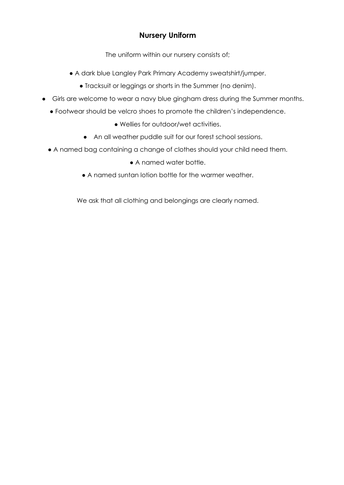#### **Nursery Uniform**

The uniform within our nursery consists of;

- A dark blue Langley Park Primary Academy sweatshirt/jumper.
	- Tracksuit or leggings or shorts in the Summer (no denim).
- Girls are welcome to wear a navy blue gingham dress during the Summer months.
	- Footwear should be velcro shoes to promote the children's independence.
		- Wellies for outdoor/wet activities.
		- An all weather puddle suit for our forest school sessions.
	- A named bag containing a change of clothes should your child need them.
		- A named water bottle.
		- A named suntan lotion bottle for the warmer weather.

We ask that all clothing and belongings are clearly named.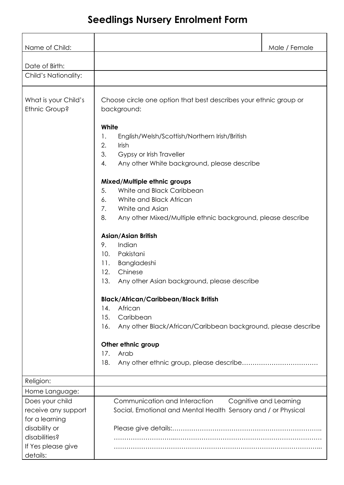## **Seedlings Nursery Enrolment Form**

| Name of Child:                                           |                                                                                                                                                                                                                                                                                                                           | Male / Female          |
|----------------------------------------------------------|---------------------------------------------------------------------------------------------------------------------------------------------------------------------------------------------------------------------------------------------------------------------------------------------------------------------------|------------------------|
|                                                          |                                                                                                                                                                                                                                                                                                                           |                        |
| Date of Birth:                                           |                                                                                                                                                                                                                                                                                                                           |                        |
| Child's Nationality:                                     |                                                                                                                                                                                                                                                                                                                           |                        |
| What is your Child's<br>Ethnic Group?                    | Choose circle one option that best describes your ethnic group or<br>background:<br>White<br>English/Welsh/Scottish/Northern Irish/British<br>1.<br>2.<br>Irish<br>3.<br>Gypsy or Irish Traveller<br>4.<br>Any other White background, please describe<br>Mixed/Multiple ethnic groups<br>5.<br>White and Black Caribbean |                        |
|                                                          | White and Black African<br>6.                                                                                                                                                                                                                                                                                             |                        |
|                                                          | 7.<br>White and Asian                                                                                                                                                                                                                                                                                                     |                        |
|                                                          | 8.<br>Any other Mixed/Multiple ethnic background, please describe                                                                                                                                                                                                                                                         |                        |
|                                                          | <b>Asian/Asian British</b><br>Indian<br>9.<br>Pakistani<br>10.<br>Bangladeshi<br>11.<br>12.<br>Chinese<br>13.<br>Any other Asian background, please describe<br><b>Black/African/Caribbean/Black British</b>                                                                                                              |                        |
|                                                          | African<br>$\overline{14}$ .                                                                                                                                                                                                                                                                                              |                        |
|                                                          | Caribbean<br>15.<br>Any other Black/African/Caribbean background, please describe<br>16.                                                                                                                                                                                                                                  |                        |
|                                                          | Other ethnic group                                                                                                                                                                                                                                                                                                        |                        |
|                                                          | Arab<br>17.                                                                                                                                                                                                                                                                                                               |                        |
|                                                          | 18.                                                                                                                                                                                                                                                                                                                       |                        |
| Religion:                                                |                                                                                                                                                                                                                                                                                                                           |                        |
| Home Language:                                           |                                                                                                                                                                                                                                                                                                                           |                        |
| Does your child<br>receive any support<br>for a learning | Communication and Interaction<br>Social, Emotional and Mental Health Sensory and / or Physical                                                                                                                                                                                                                            | Cognitive and Learning |
| disability or<br>disabilities?                           |                                                                                                                                                                                                                                                                                                                           |                        |
| If Yes please give<br>details:                           |                                                                                                                                                                                                                                                                                                                           |                        |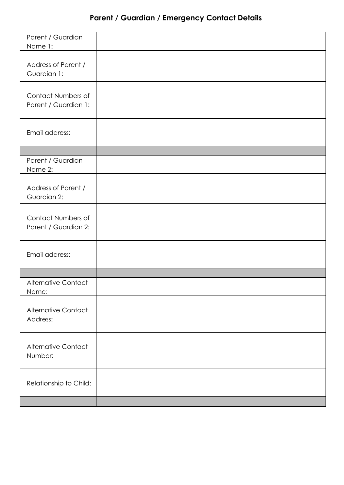## **Parent / Guardian / Emergency Contact Details**

| Parent / Guardian<br>Name 1:               |  |
|--------------------------------------------|--|
| Address of Parent /<br>Guardian 1:         |  |
| Contact Numbers of<br>Parent / Guardian 1: |  |
| Email address:                             |  |
|                                            |  |
| Parent / Guardian<br>Name 2:               |  |
| Address of Parent /<br>Guardian 2:         |  |
| Contact Numbers of<br>Parent / Guardian 2: |  |
| Email address:                             |  |
|                                            |  |
| <b>Alternative Contact</b><br>Name:        |  |
| <b>Alternative Contact</b><br>Address:     |  |
| <b>Alternative Contact</b><br>Number:      |  |
| Relationship to Child:                     |  |
|                                            |  |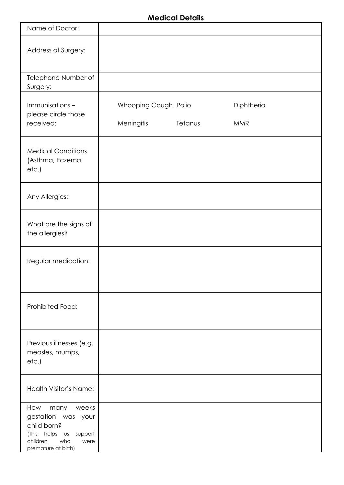#### **Medical Details**

| Name of Doctor:                                                                                                                    |                                    |         |                          |
|------------------------------------------------------------------------------------------------------------------------------------|------------------------------------|---------|--------------------------|
| Address of Surgery:                                                                                                                |                                    |         |                          |
| Telephone Number of<br>Surgery:                                                                                                    |                                    |         |                          |
| Immunisations-<br>please circle those<br>received:                                                                                 | Whooping Cough Polio<br>Meningitis | Tetanus | Diphtheria<br><b>MMR</b> |
| <b>Medical Conditions</b><br>(Asthma, Eczema<br>etc.)                                                                              |                                    |         |                          |
| Any Allergies:                                                                                                                     |                                    |         |                          |
| What are the signs of<br>the allergies?                                                                                            |                                    |         |                          |
| Regular medication:                                                                                                                |                                    |         |                          |
| Prohibited Food:                                                                                                                   |                                    |         |                          |
| Previous illnesses (e.g.<br>measles, mumps,<br>etc.)                                                                               |                                    |         |                          |
| Health Visitor's Name:                                                                                                             |                                    |         |                          |
| How<br>many weeks<br>gestation was your<br>child born?<br>(This helps us support<br>who<br>children<br>were<br>premature at birth) |                                    |         |                          |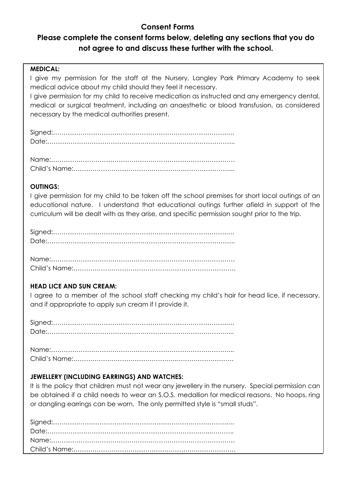#### **Consent Forms**

### **Please complete the consent forms below, deleting any sections that you do not agree to and discuss these further with the school.**

#### **MEDICAL:**

I give my permission for the staff at the Nursery, Langley Park Primary Academy to seek medical advice about my child should they feel it necessary.

I give permission for my child to receive medication as instructed and any emergency dental, medical or surgical treatment, including an anaesthetic or blood transfusion, as considered necessary by the medical authorities present.

Signed:……………………………………………………………………….…. Date:……………………………………………………………………………..

Name:…………………………………………………………………………… Child's Name:……………………………….…………….…………………...

#### **OUTINGS:**

I give permission for my child to be taken off the school premises for short local outings of an educational nature. I understand that educational outings further afield in support of the curriculum will be dealt with as they arise, and specific permission sought prior to the trip.

Signed:……………………………………………………………………….…. Date:……………………………………………………………………………..

Name:…………………………………………………………………………… Child's Name:……………………………………………….………………….

#### **HEAD LICE AND SUN CREAM:**

I agree to a member of the school staff checking my child's hair for head lice, if necessary, and if appropriate to apply sun cream if I provide it.

Signed:……………………………………………………………………….…. Date:………………………………………………………….………………....

Name:…………………………………………………………………………... Child's Name:………………………………………….………………………

#### **JEWELLERY (INCLUDING EARRINGS) AND WATCHES:**

It is the policy that children must not wear any jewellery in the nursery. Special permission can be obtained if a child needs to wear an S.O.S. medallion for medical reasons. No hoops, ring or dangling earrings can be worn. The only permitted style is "small studs".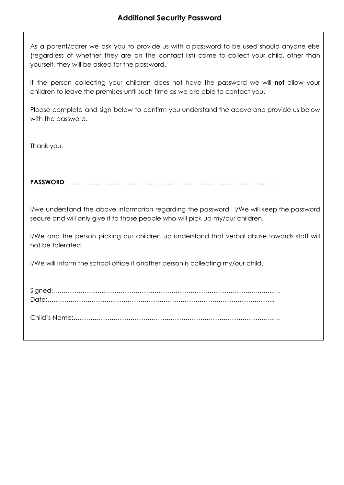As a parent/carer we ask you to provide us with a password to be used should anyone else (regardless of whether they are on the contact list) come to collect your child, other than yourself, they will be asked for the password.

If the person collecting your children does not have the password we will **not** allow your children to leave the premises until such time as we are able to contact you.

Please complete and sign below to confirm you understand the above and provide us below with the password.

Thank you.

**PASSWORD**:………………………………………………………………………………………..

I/we understand the above information regarding the password. I/We will keep the password secure and will only give it to those people who will pick up my/our children.

I/We and the person picking our children up understand that verbal abuse towards staff will not be tolerated.

I/We will inform the school office if another person is collecting my/our child.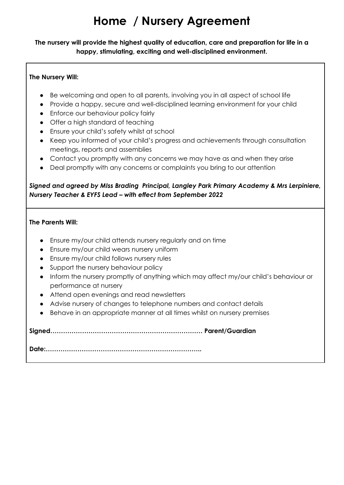# **Home / Nursery Agreement**

**The nursery will provide the highest quality of education, care and preparation for life in a happy, stimulating, exciting and well-disciplined environment.**

#### **The Nursery Will:**

- Be welcoming and open to all parents, involving you in all aspect of school life
- Provide a happy, secure and well-disciplined learning environment for your child
- Enforce our behaviour policy fairly
- Offer a high standard of teaching
- Ensure your child's safety whilst at school
- Keep you informed of your child's progress and achievements through consultation meetings, reports and assemblies
- Contact you promptly with any concerns we may have as and when they arise
- Deal promptly with any concerns or complaints you bring to our attention

#### *Signed and agreed by MIss Brading Principal, Langley Park Primary Academy & Mrs Lerpiniere, Nursery Teacher & EYFS Lead – with effect from September 2022*

#### **The Parents Will:**

- Ensure my/our child attends nursery regularly and on time
- Ensure my/our child wears nursery uniform
- Ensure my/our child follows nursery rules
- Support the nursery behaviour policy
- Inform the nursery promptly of anything which may affect my/our child's behaviour or performance at nursery
- Attend open evenings and read newsletters
- Advise nursery of changes to telephone numbers and contact details
- Behave in an appropriate manner at all times whilst on nursery premises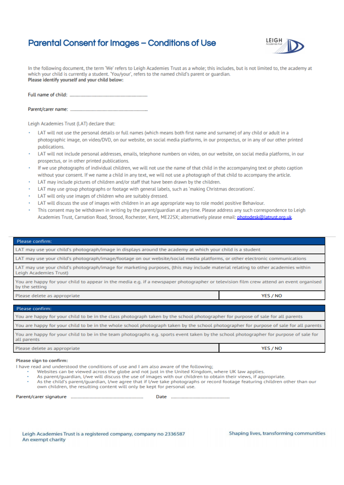#### **Parental Consent for Images - Conditions of Use**



In the following document, the term 'We' refers to Leigh Academies Trust as a whole: this includes, but is not limited to, the academy at which your child is currently a student. 'You/your', refers to the named child's parent or quardian. Please identify yourself and your child below:

Leigh Academies Trust (LAT) declare that:

- LAT will not use the personal details or full names (which means both first name and surname) of any child or adult in a photographic image, on video/DVD, on our website, on social media platforms, in our prospectus, or in any of our other printed publications.
- LAT will not include personal addresses, emails, telephone numbers on video, on our website, on social media platforms, in our prospectus, or in other printed publications.
- If we use photographs of individual children, we will not use the name of that child in the accompanying text or photo caption without your consent. If we name a child in any text, we will not use a photograph of that child to accompany the article.
- LAT may include pictures of children and/or staff that have been drawn by the children.
- LAT may use group photographs or footage with general labels, such as 'making Christmas decorations'.
- LAT will only use images of children who are suitably dressed.
- LAT will discuss the use of images with children in an age appropriate way to role model positive Behaviour.
- This consent may be withdrawn in writing by the parent/guardian at any time. Please address any such correspondence to Leigh Academies Trust, Carnation Road, Strood, Rochester, Kent, ME22SX; alternatively please email: photodesk@latrust.org.uk

|  |  |  | Please confirm: |
|--|--|--|-----------------|
|  |  |  |                 |

LAT may use your child's photograph/image in displays around the academy at which your child is a student

LAT may use your child's photograph/image/footage on our website/social media platforms, or other electronic communications

LAT may use your child's photograph/image for marketing purposes, (this may include material relating to other academies within Leigh Academies Trust)

You are happy for your child to appear in the media e.g. if a newspaper photographer or television film crew attend an event organised by the setting

Please delete as appropriate

#### Please confirm:

| You are happy for your child to be in the class photograph taken by the school photographer for purpose of sale for all parents       |
|---------------------------------------------------------------------------------------------------------------------------------------|
| You are happy for your child to be in the whole school photograph taken by the school photographer for purpose of sale for all parent |
| You are happy for your child to be in the team photographs e.g. sports event taken by the school photographer for purpose of sale for |

all parents Please delete as appropriate YES / NO

#### **Please sign to confirm:**

I have read and understood the conditions of use and I am also aware of the following;

Websites can be viewed across the globe and not just in the United Kingdom, where UK law applies.

As parent/quardian, I/we will discuss the use of images with our children to obtain their views, if appropriate.

As the child's parent/guardian, I/we agree that if I/we take photographs or record footage featuring children other than our own children, the resulting content will only be kept for personal use.

| Parent/carer signature |  |  |  |
|------------------------|--|--|--|
|------------------------|--|--|--|

Date **Date** 

Leigh Academies Trust is a registered company, company no 2336587 An exempt charity

Shaping lives, transforming communities

YES / NO